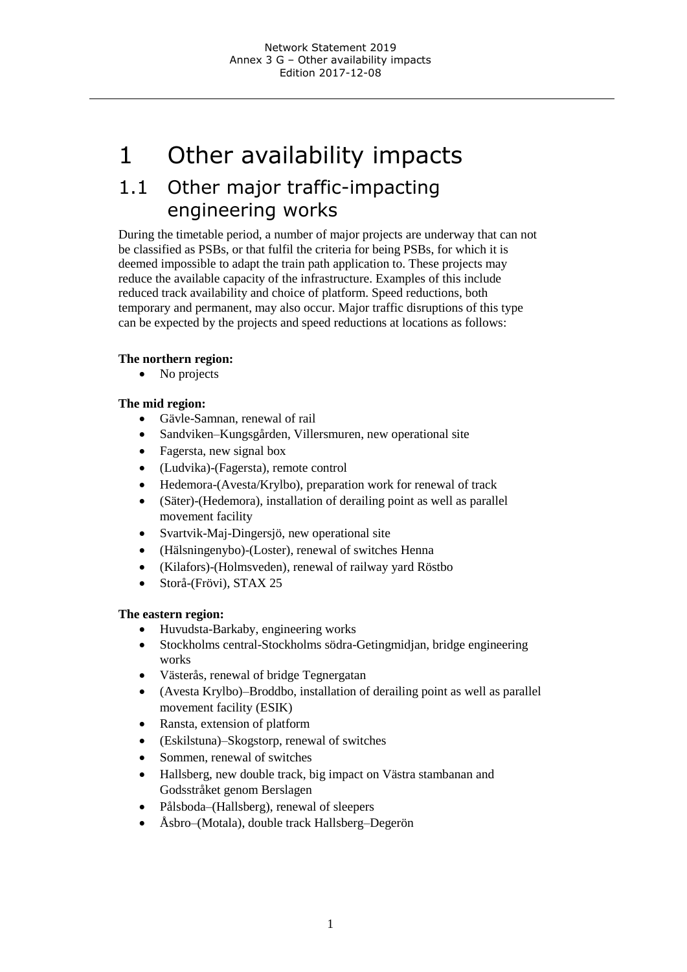# 1 Other availability impacts

# 1.1 Other major traffic-impacting engineering works

During the timetable period, a number of major projects are underway that can not be classified as PSBs, or that fulfil the criteria for being PSBs, for which it is deemed impossible to adapt the train path application to. These projects may reduce the available capacity of the infrastructure. Examples of this include reduced track availability and choice of platform. Speed reductions, both temporary and permanent, may also occur. Major traffic disruptions of this type can be expected by the projects and speed reductions at locations as follows:

#### **The northern region:**

• No projects

#### **The mid region:**

- Gävle-Samnan, renewal of rail
- Sandviken–Kungsgården, Villersmuren, new operational site
- Fagersta, new signal box
- (Ludvika)-(Fagersta), remote control
- Hedemora-(Avesta/Krylbo), preparation work for renewal of track
- (Säter)-(Hedemora), installation of derailing point as well as parallel movement facility
- Svartvik-Maj-Dingersjö, new operational site
- (Hälsningenybo)-(Loster), renewal of switches Henna
- (Kilafors)-(Holmsveden), renewal of railway yard Röstbo
- Storå-(Frövi), STAX 25

#### **The eastern region:**

- Huvudsta-Barkaby, engineering works
- Stockholms central-Stockholms södra-Getingmidjan, bridge engineering works
- Västerås, renewal of bridge Tegnergatan
- (Avesta Krylbo)–Broddbo, installation of derailing point as well as parallel movement facility (ESIK)
- Ransta, extension of platform
- (Eskilstuna)–Skogstorp, renewal of switches
- Sommen, renewal of switches
- Hallsberg, new double track, big impact on Västra stambanan and Godsstråket genom Berslagen
- Pålsboda–(Hallsberg), renewal of sleepers
- Åsbro–(Motala), double track Hallsberg–Degerön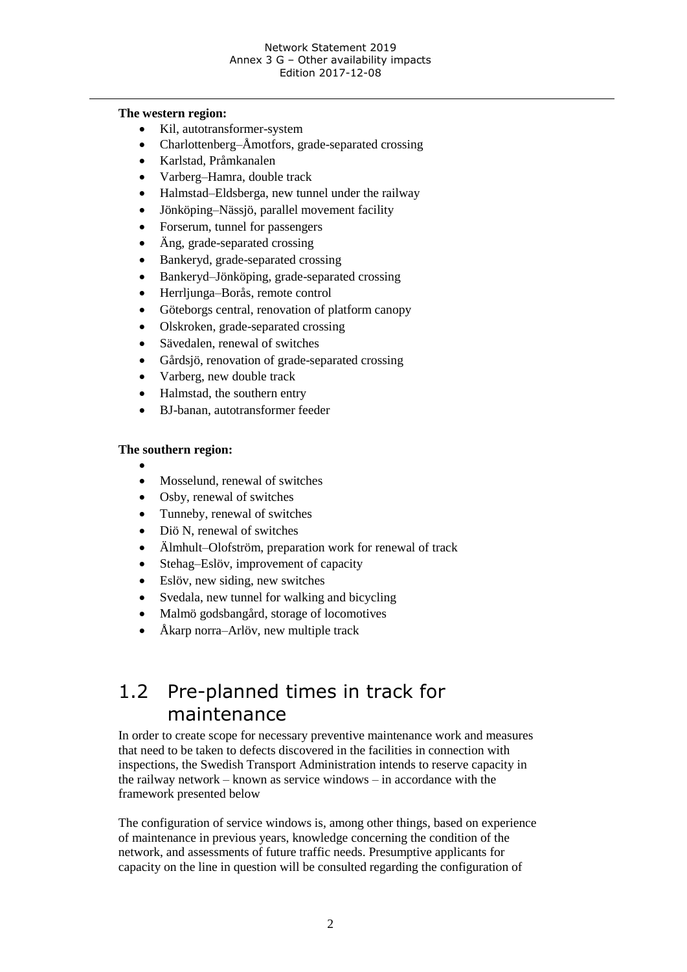#### **The western region:**

- Kil, autotransformer-system
- Charlottenberg–Åmotfors, grade-separated crossing
- Karlstad, Pråmkanalen
- Varberg–Hamra, double track
- Halmstad–Eldsberga, new tunnel under the railway
- Jönköping–Nässjö, parallel movement facility
- Forserum, tunnel for passengers
- Äng, grade-separated crossing
- Bankeryd, grade-separated crossing
- Bankeryd–Jönköping, grade-separated crossing
- Herrljunga–Borås, remote control
- Göteborgs central, renovation of platform canopy
- Olskroken, grade-separated crossing
- Sävedalen, renewal of switches
- Gårdsjö, renovation of grade-separated crossing
- Varberg, new double track
- Halmstad, the southern entry
- BJ-banan, autotransformer feeder

#### **The southern region:**

- $\bullet$
- Mosselund, renewal of switches
- Osby, renewal of switches
- Tunneby, renewal of switches
- Diö N, renewal of switches
- Älmhult–Olofström, preparation work for renewal of track
- Stehag–Eslöv, improvement of capacity
- Eslöv, new siding, new switches
- Svedala, new tunnel for walking and bicycling
- Malmö godsbangård, storage of locomotives
- Åkarp norra–Arlöv, new multiple track

## 1.2 Pre-planned times in track for maintenance

In order to create scope for necessary preventive maintenance work and measures that need to be taken to defects discovered in the facilities in connection with inspections, the Swedish Transport Administration intends to reserve capacity in the railway network – known as service windows – in accordance with the framework presented below

The configuration of service windows is, among other things, based on experience of maintenance in previous years, knowledge concerning the condition of the network, and assessments of future traffic needs. Presumptive applicants for capacity on the line in question will be consulted regarding the configuration of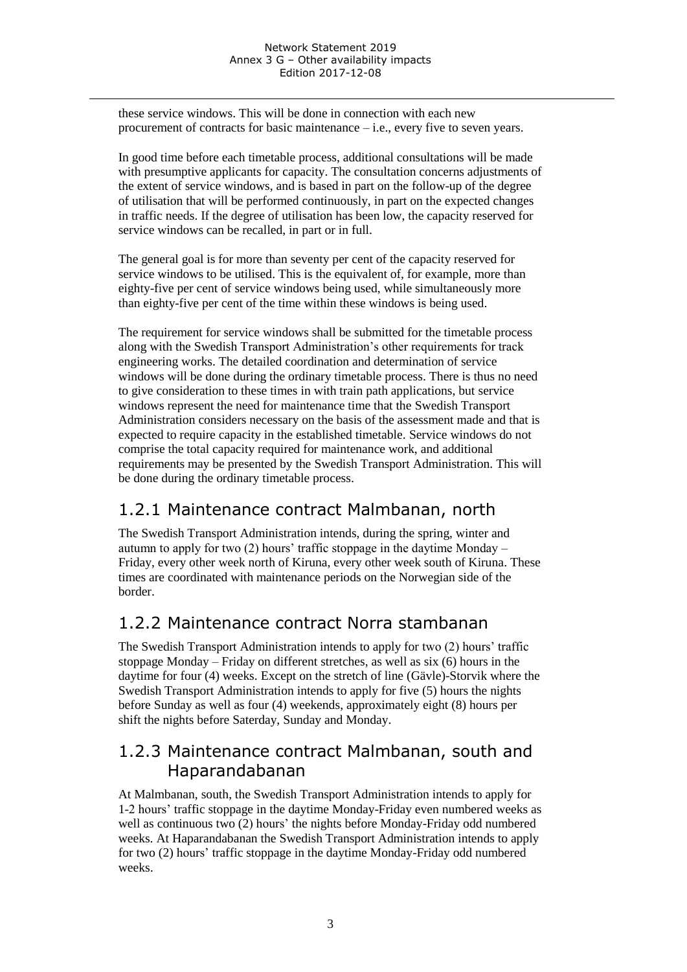these service windows. This will be done in connection with each new procurement of contracts for basic maintenance – i.e., every five to seven years.

In good time before each timetable process, additional consultations will be made with presumptive applicants for capacity. The consultation concerns adjustments of the extent of service windows, and is based in part on the follow-up of the degree of utilisation that will be performed continuously, in part on the expected changes in traffic needs. If the degree of utilisation has been low, the capacity reserved for service windows can be recalled, in part or in full.

The general goal is for more than seventy per cent of the capacity reserved for service windows to be utilised. This is the equivalent of, for example, more than eighty-five per cent of service windows being used, while simultaneously more than eighty-five per cent of the time within these windows is being used.

The requirement for service windows shall be submitted for the timetable process along with the Swedish Transport Administration's other requirements for track engineering works. The detailed coordination and determination of service windows will be done during the ordinary timetable process. There is thus no need to give consideration to these times in with train path applications, but service windows represent the need for maintenance time that the Swedish Transport Administration considers necessary on the basis of the assessment made and that is expected to require capacity in the established timetable. Service windows do not comprise the total capacity required for maintenance work, and additional requirements may be presented by the Swedish Transport Administration. This will be done during the ordinary timetable process.

### 1.2.1 Maintenance contract Malmbanan, north

The Swedish Transport Administration intends, during the spring, winter and autumn to apply for two (2) hours' traffic stoppage in the daytime Monday – Friday, every other week north of Kiruna, every other week south of Kiruna. These times are coordinated with maintenance periods on the Norwegian side of the border.

### 1.2.2 Maintenance contract Norra stambanan

The Swedish Transport Administration intends to apply for two (2) hours' traffic stoppage Monday – Friday on different stretches, as well as six (6) hours in the daytime for four (4) weeks. Except on the stretch of line (Gävle)-Storvik where the Swedish Transport Administration intends to apply for five (5) hours the nights before Sunday as well as four (4) weekends, approximately eight (8) hours per shift the nights before Saterday, Sunday and Monday.

### 1.2.3 Maintenance contract Malmbanan, south and Haparandabanan

At Malmbanan, south, the Swedish Transport Administration intends to apply for 1-2 hours' traffic stoppage in the daytime Monday-Friday even numbered weeks as well as continuous two (2) hours' the nights before Monday-Friday odd numbered weeks. At Haparandabanan the Swedish Transport Administration intends to apply for two (2) hours' traffic stoppage in the daytime Monday-Friday odd numbered weeks.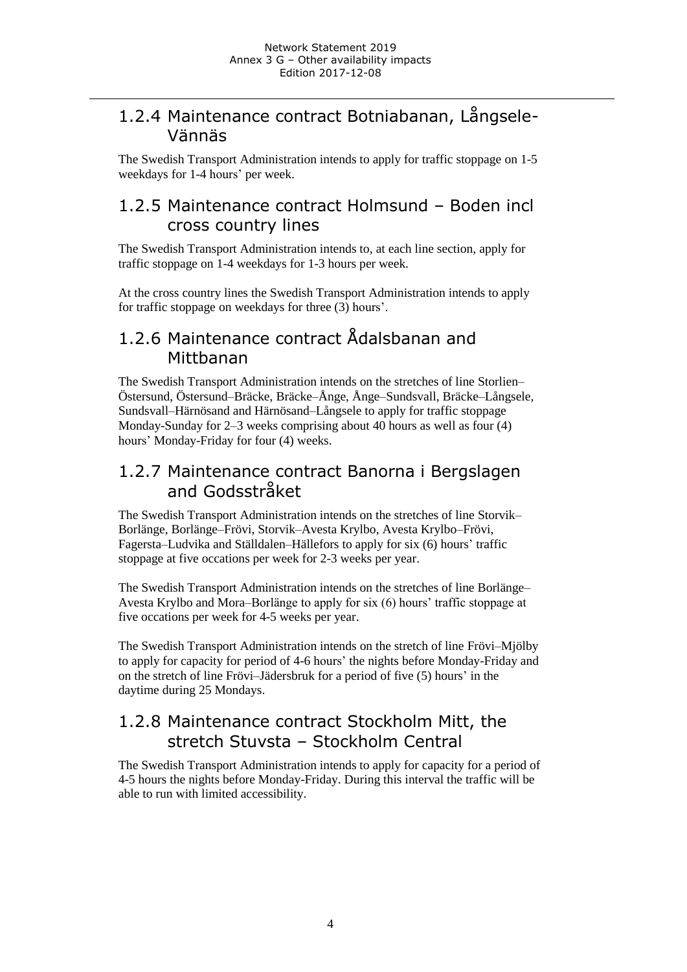### 1.2.4 Maintenance contract Botniabanan, Långsele-Vännäs

The Swedish Transport Administration intends to apply for traffic stoppage on 1-5 weekdays for 1-4 hours' per week.

### 1.2.5 Maintenance contract Holmsund – Boden incl cross country lines

The Swedish Transport Administration intends to, at each line section, apply for traffic stoppage on 1-4 weekdays for 1-3 hours per week.

At the cross country lines the Swedish Transport Administration intends to apply for traffic stoppage on weekdays for three (3) hours'.

### 1.2.6 Maintenance contract Ådalsbanan and Mittbanan

The Swedish Transport Administration intends on the stretches of line Storlien– Östersund, Östersund–Bräcke, Bräcke–Ånge, Ånge–Sundsvall, Bräcke–Långsele, Sundsvall–Härnösand and Härnösand–Långsele to apply for traffic stoppage Monday-Sunday for 2–3 weeks comprising about 40 hours as well as four (4) hours' Monday-Friday for four (4) weeks.

### 1.2.7 Maintenance contract Banorna i Bergslagen and Godsstråket

The Swedish Transport Administration intends on the stretches of line Storvik– Borlänge, Borlänge–Frövi, Storvik–Avesta Krylbo, Avesta Krylbo–Frövi, Fagersta–Ludvika and Ställdalen–Hällefors to apply for six (6) hours' traffic stoppage at five occations per week for 2-3 weeks per year.

The Swedish Transport Administration intends on the stretches of line Borlänge– Avesta Krylbo and Mora–Borlänge to apply for six (6) hours' traffic stoppage at five occations per week for 4-5 weeks per year.

The Swedish Transport Administration intends on the stretch of line Frövi–Mjölby to apply for capacity for period of 4-6 hours' the nights before Monday-Friday and on the stretch of line Frövi–Jädersbruk for a period of five (5) hours' in the daytime during 25 Mondays.

### 1.2.8 Maintenance contract Stockholm Mitt, the stretch Stuvsta – Stockholm Central

The Swedish Transport Administration intends to apply for capacity for a period of 4-5 hours the nights before Monday-Friday. During this interval the traffic will be able to run with limited accessibility.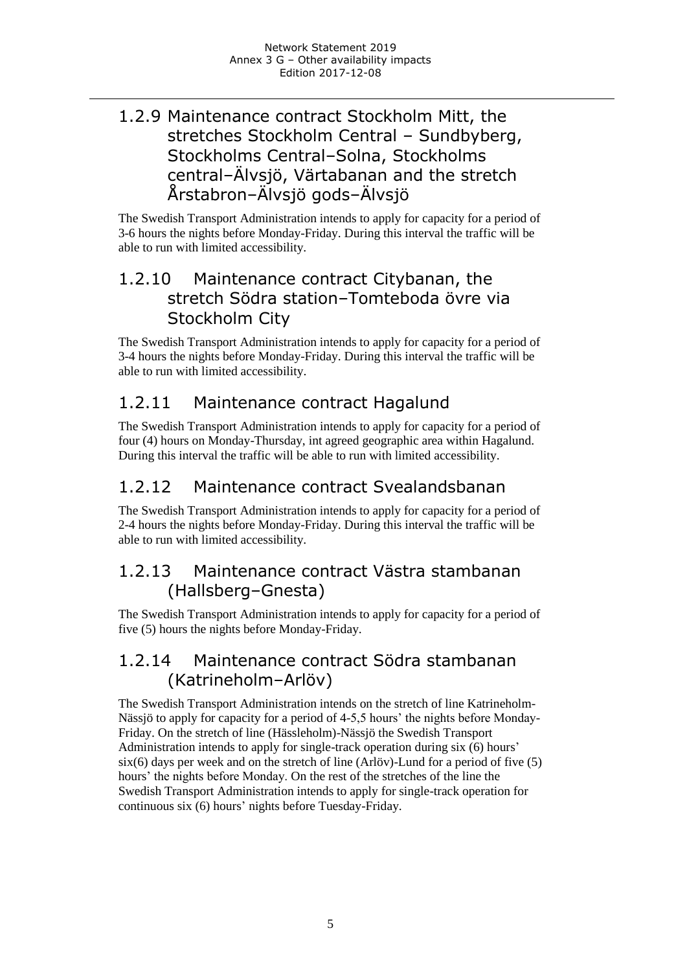### 1.2.9 Maintenance contract Stockholm Mitt, the stretches Stockholm Central – Sundbyberg, Stockholms Central–Solna, Stockholms central–Älvsjö, Värtabanan and the stretch Årstabron–Älvsjö gods–Älvsjö

The Swedish Transport Administration intends to apply for capacity for a period of 3-6 hours the nights before Monday-Friday. During this interval the traffic will be able to run with limited accessibility.

### 1.2.10 Maintenance contract Citybanan, the stretch Södra station–Tomteboda övre via Stockholm City

The Swedish Transport Administration intends to apply for capacity for a period of 3-4 hours the nights before Monday-Friday. During this interval the traffic will be able to run with limited accessibility.

### 1.2.11 Maintenance contract Hagalund

The Swedish Transport Administration intends to apply for capacity for a period of four (4) hours on Monday-Thursday, int agreed geographic area within Hagalund. During this interval the traffic will be able to run with limited accessibility.

### 1.2.12 Maintenance contract Svealandsbanan

The Swedish Transport Administration intends to apply for capacity for a period of 2-4 hours the nights before Monday-Friday. During this interval the traffic will be able to run with limited accessibility.

### 1.2.13 Maintenance contract Västra stambanan (Hallsberg–Gnesta)

The Swedish Transport Administration intends to apply for capacity for a period of five (5) hours the nights before Monday-Friday.

### 1.2.14 Maintenance contract Södra stambanan (Katrineholm–Arlöv)

The Swedish Transport Administration intends on the stretch of line Katrineholm-Nässjö to apply for capacity for a period of 4-5,5 hours' the nights before Monday-Friday. On the stretch of line (Hässleholm)-Nässjö the Swedish Transport Administration intends to apply for single-track operation during six (6) hours' six(6) days per week and on the stretch of line (Arlöv)-Lund for a period of five (5) hours' the nights before Monday. On the rest of the stretches of the line the Swedish Transport Administration intends to apply for single-track operation for continuous six (6) hours' nights before Tuesday-Friday.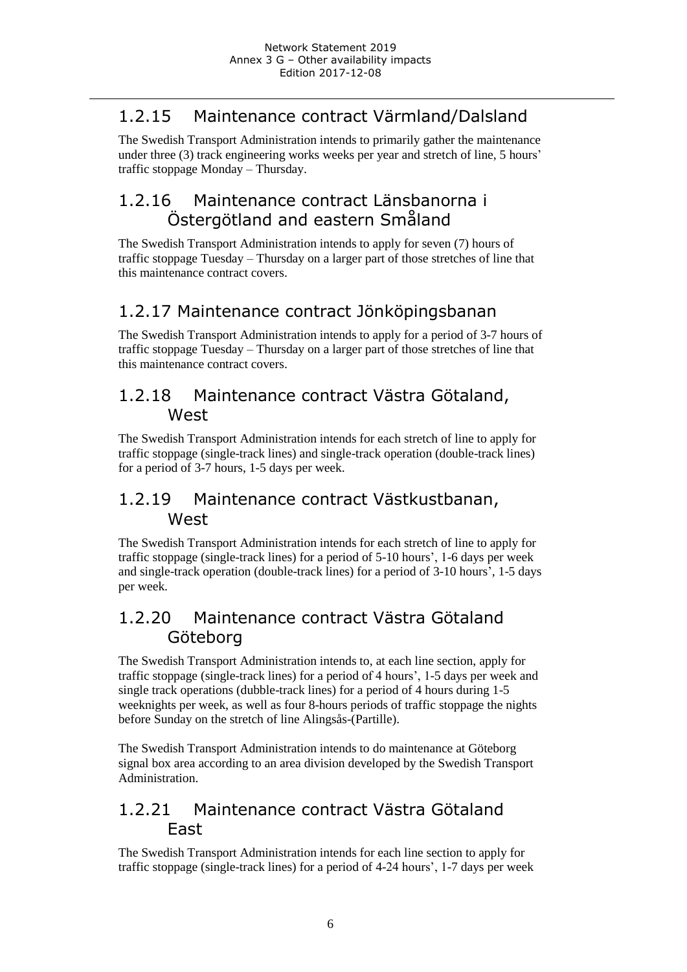### 1.2.15 Maintenance contract Värmland/Dalsland

The Swedish Transport Administration intends to primarily gather the maintenance under three (3) track engineering works weeks per year and stretch of line, 5 hours' traffic stoppage Monday – Thursday.

### 1.2.16 Maintenance contract Länsbanorna i Östergötland and eastern Småland

The Swedish Transport Administration intends to apply for seven (7) hours of traffic stoppage Tuesday – Thursday on a larger part of those stretches of line that this maintenance contract covers.

### 1.2.17 Maintenance contract Jönköpingsbanan

The Swedish Transport Administration intends to apply for a period of 3-7 hours of traffic stoppage Tuesday – Thursday on a larger part of those stretches of line that this maintenance contract covers.

### 1.2.18 Maintenance contract Västra Götaland, West

The Swedish Transport Administration intends for each stretch of line to apply for traffic stoppage (single-track lines) and single-track operation (double-track lines) for a period of 3-7 hours, 1-5 days per week.

### 1.2.19 Maintenance contract Västkustbanan, **West**

The Swedish Transport Administration intends for each stretch of line to apply for traffic stoppage (single-track lines) for a period of 5-10 hours', 1-6 days per week and single-track operation (double-track lines) for a period of 3-10 hours', 1-5 days per week.

### 1.2.20 Maintenance contract Västra Götaland Göteborg

The Swedish Transport Administration intends to, at each line section, apply for traffic stoppage (single-track lines) for a period of 4 hours', 1-5 days per week and single track operations (dubble-track lines) for a period of 4 hours during 1-5 weeknights per week, as well as four 8-hours periods of traffic stoppage the nights before Sunday on the stretch of line Alingsås-(Partille).

The Swedish Transport Administration intends to do maintenance at Göteborg signal box area according to an area division developed by the Swedish Transport Administration.

### 1.2.21 Maintenance contract Västra Götaland East

The Swedish Transport Administration intends for each line section to apply for traffic stoppage (single-track lines) for a period of 4-24 hours', 1-7 days per week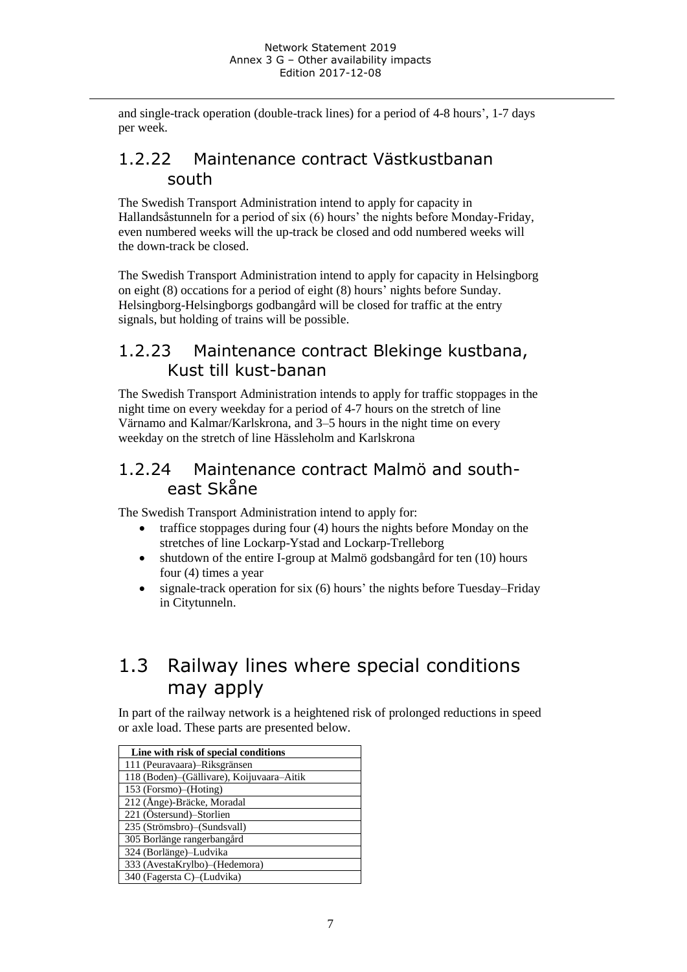and single-track operation (double-track lines) for a period of 4-8 hours', 1-7 days per week.

### 1.2.22 Maintenance contract Västkustbanan south

The Swedish Transport Administration intend to apply for capacity in Hallandsåstunneln for a period of six (6) hours' the nights before Monday-Friday, even numbered weeks will the up-track be closed and odd numbered weeks will the down-track be closed.

The Swedish Transport Administration intend to apply for capacity in Helsingborg on eight (8) occations for a period of eight (8) hours' nights before Sunday. Helsingborg-Helsingborgs godbangård will be closed for traffic at the entry signals, but holding of trains will be possible.

### 1.2.23 Maintenance contract Blekinge kustbana, Kust till kust-banan

The Swedish Transport Administration intends to apply for traffic stoppages in the night time on every weekday for a period of 4-7 hours on the stretch of line Värnamo and Kalmar/Karlskrona, and 3–5 hours in the night time on every weekday on the stretch of line Hässleholm and Karlskrona

### 1.2.24 Maintenance contract Malmö and southeast Skåne

The Swedish Transport Administration intend to apply for:

- traffice stoppages during four (4) hours the nights before Monday on the stretches of line Lockarp-Ystad and Lockarp-Trelleborg
- shutdown of the entire I-group at Malmö godsbangård for ten (10) hours four (4) times a year
- signale-track operation for six  $(6)$  hours' the nights before Tuesday–Friday in Citytunneln.

# 1.3 Railway lines where special conditions may apply

In part of the railway network is a heightened risk of prolonged reductions in speed or axle load. These parts are presented below.

| Line with risk of special conditions      |
|-------------------------------------------|
| 111 (Peuravaara)–Riksgränsen              |
| 118 (Boden)-(Gällivare), Koijuvaara-Aitik |
| 153 (Forsmo)–(Hoting)                     |
| 212 (Ånge)-Bräcke, Moradal                |
| 221 (Östersund)–Storlien                  |
| 235 (Strömsbro)–(Sundsvall)               |
| 305 Borlänge rangerbangård                |
| 324 (Borlänge)-Ludvika                    |
| 333 (AvestaKrylbo)–(Hedemora)             |
| 340 (Fagersta C)–(Ludvika)                |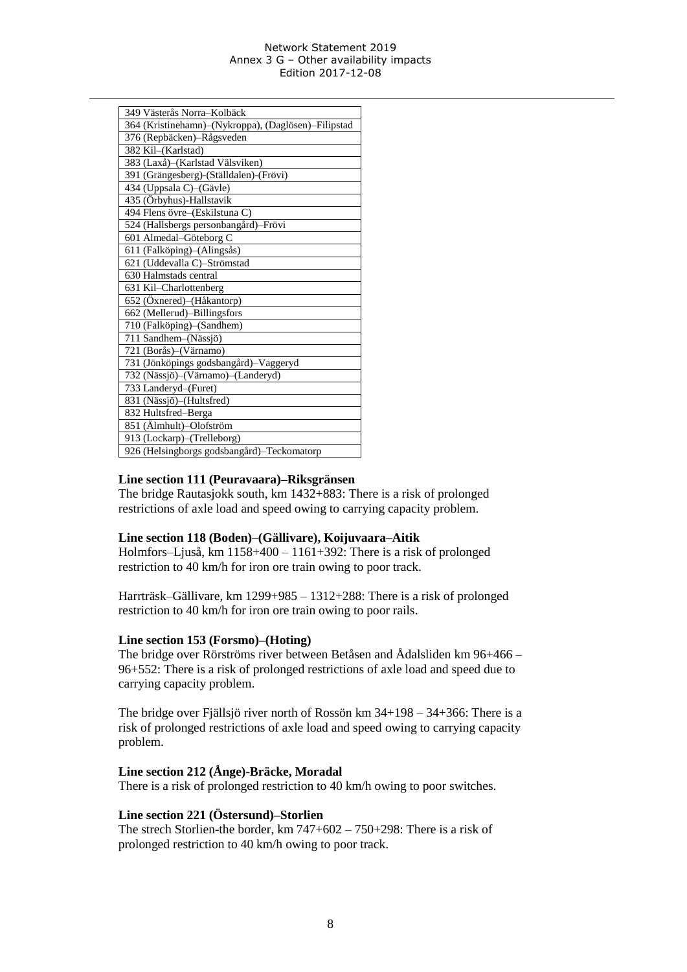#### Network Statement 2019 Annex 3 G – Other availability impacts Edition 2017-12-08

| 349 Västerås Norra-Kolbäck                          |
|-----------------------------------------------------|
|                                                     |
| 364 (Kristinehamn)-(Nykroppa), (Daglösen)-Filipstad |
| 376 (Repbäcken)-Rågsveden                           |
| 382 Kil-(Karlstad)                                  |
| 383 (Laxå)–(Karlstad Välsviken)                     |
| 391 (Grängesberg)-(Ställdalen)-(Frövi)              |
| 434 (Uppsala C)-(Gävle)                             |
| 435 (Örbyhus)-Hallstavik                            |
| 494 Flens övre-(Eskilstuna C)                       |
| 524 (Hallsbergs personbangård)-Frövi                |
| 601 Almedal-Göteborg C                              |
| 611 (Falköping)-(Alingsås)                          |
| 621 (Uddevalla C)-Strömstad                         |
| 630 Halmstads central                               |
| 631 Kil-Charlottenberg                              |
| 652 (Öxnered)–(Håkantorp)                           |
| 662 (Mellerud)-Billingsfors                         |
| 710 (Falköping)-(Sandhem)                           |
| 711 Sandhem-(Nässjö)                                |
| 721 (Borås)–(Värnamo)                               |
| 731 (Jönköpings godsbangård)-Vaggeryd               |
| 732 (Nässjö)-(Värnamo)-(Landeryd)                   |
| 733 Landeryd-(Furet)                                |
| 831 (Nässjö)–(Hultsfred)                            |
| 832 Hultsfred-Berga                                 |
| 851 (Älmhult)-Olofström                             |
| 913 (Lockarp)-(Trelleborg)                          |
| 926 (Helsingborgs godsbangård)-Teckomatorp          |

#### **Line section 111 (Peuravaara)–Riksgränsen**

The bridge Rautasjokk south, km 1432+883: There is a risk of prolonged restrictions of axle load and speed owing to carrying capacity problem.

#### **Line section 118 (Boden)–(Gällivare), Koijuvaara–Aitik**

Holmfors–Ljuså, km 1158+400 – 1161+392: There is a risk of prolonged restriction to 40 km/h for iron ore train owing to poor track.

Harrträsk–Gällivare, km 1299+985 – 1312+288: There is a risk of prolonged restriction to 40 km/h for iron ore train owing to poor rails.

#### **Line section 153 (Forsmo)–(Hoting)**

The bridge over Rörströms river between Betåsen and Ådalsliden km 96+466 – 96+552: There is a risk of prolonged restrictions of axle load and speed due to carrying capacity problem.

The bridge over Fjällsjö river north of Rossön km 34+198 – 34+366: There is a risk of prolonged restrictions of axle load and speed owing to carrying capacity problem.

#### **Line section 212 (Ånge)-Bräcke, Moradal**

There is a risk of prolonged restriction to 40 km/h owing to poor switches.

#### **Line section 221 (Östersund)–Storlien**

The strech Storlien-the border, km 747+602 – 750+298: There is a risk of prolonged restriction to 40 km/h owing to poor track.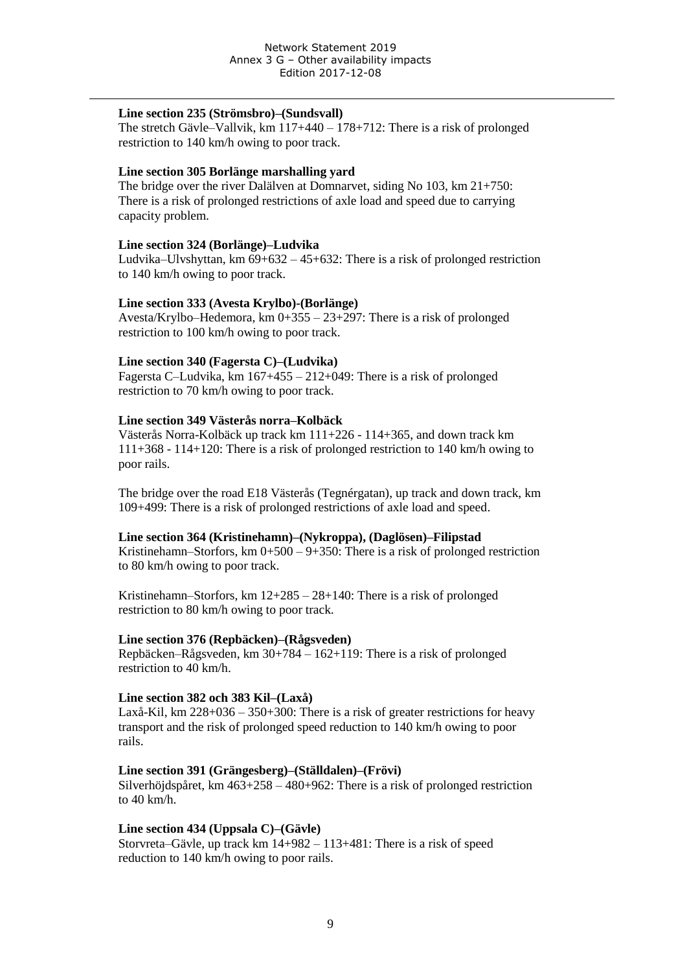#### **Line section 235 (Strömsbro)–(Sundsvall)**

The stretch Gävle–Vallvik, km 117+440 – 178+712: There is a risk of prolonged restriction to 140 km/h owing to poor track.

#### **Line section 305 Borlänge marshalling yard**

The bridge over the river Dalälven at Domnarvet, siding No 103, km 21+750: There is a risk of prolonged restrictions of axle load and speed due to carrying capacity problem.

#### **Line section 324 (Borlänge)–Ludvika**

Ludvika–Ulvshyttan, km 69+632 – 45+632: There is a risk of prolonged restriction to 140 km/h owing to poor track.

#### **Line section 333 (Avesta Krylbo)-(Borlänge)**

Avesta/Krylbo–Hedemora, km 0+355 – 23+297: There is a risk of prolonged restriction to 100 km/h owing to poor track.

#### **Line section 340 (Fagersta C)–(Ludvika)**

Fagersta C–Ludvika, km 167+455 – 212+049: There is a risk of prolonged restriction to 70 km/h owing to poor track.

#### **Line section 349 Västerås norra–Kolbäck**

Västerås Norra-Kolbäck up track km 111+226 - 114+365, and down track km 111+368 - 114+120: There is a risk of prolonged restriction to 140 km/h owing to poor rails.

The bridge over the road E18 Västerås (Tegnérgatan), up track and down track, km 109+499: There is a risk of prolonged restrictions of axle load and speed.

#### **Line section 364 (Kristinehamn)–(Nykroppa), (Daglösen)–Filipstad**

Kristinehamn–Storfors, km  $0+500-9+350$ : There is a risk of prolonged restriction to 80 km/h owing to poor track.

Kristinehamn–Storfors, km 12+285 – 28+140: There is a risk of prolonged restriction to 80 km/h owing to poor track.

#### **Line section 376 (Repbäcken)–(Rågsveden)**

Repbäcken–Rågsveden, km 30+784 – 162+119: There is a risk of prolonged restriction to 40 km/h.

#### **Line section 382 och 383 Kil–(Laxå)**

Laxå-Kil, km 228+036 – 350+300: There is a risk of greater restrictions for heavy transport and the risk of prolonged speed reduction to 140 km/h owing to poor rails.

#### **Line section 391 (Grängesberg)–(Ställdalen)–(Frövi)**

Silverhöjdspåret, km 463+258 – 480+962: There is a risk of prolonged restriction to 40 km/h.

#### **Line section 434 (Uppsala C)–(Gävle)**

Storvreta–Gävle, up track km 14+982 – 113+481: There is a risk of speed reduction to 140 km/h owing to poor rails.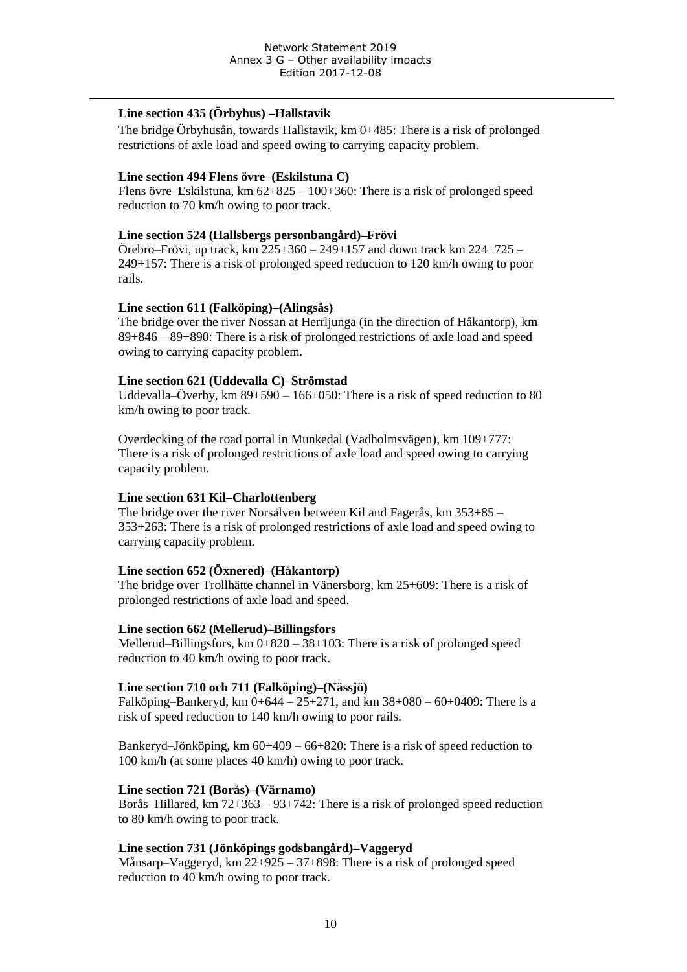#### **Line section 435 (Örbyhus) –Hallstavik**

The bridge Örbyhusån, towards Hallstavik, km 0+485: There is a risk of prolonged restrictions of axle load and speed owing to carrying capacity problem.

#### **Line section 494 Flens övre–(Eskilstuna C)**

Flens övre–Eskilstuna, km 62+825 – 100+360: There is a risk of prolonged speed reduction to 70 km/h owing to poor track.

#### **Line section 524 (Hallsbergs personbangård)–Frövi**

Örebro–Frövi, up track, km 225+360 – 249+157 and down track km 224+725 – 249+157: There is a risk of prolonged speed reduction to 120 km/h owing to poor rails.

#### **Line section 611 (Falköping)–(Alingsås)**

The bridge over the river Nossan at Herrljunga (in the direction of Håkantorp), km 89+846 – 89+890: There is a risk of prolonged restrictions of axle load and speed owing to carrying capacity problem.

#### **Line section 621 (Uddevalla C)–Strömstad**

Uddevalla–Överby, km 89+590 – 166+050: There is a risk of speed reduction to 80 km/h owing to poor track.

Overdecking of the road portal in Munkedal (Vadholmsvägen), km 109+777: There is a risk of prolonged restrictions of axle load and speed owing to carrying capacity problem.

#### **Line section 631 Kil–Charlottenberg**

The bridge over the river Norsälven between Kil and Fagerås, km 353+85 – 353+263: There is a risk of prolonged restrictions of axle load and speed owing to carrying capacity problem.

#### **Line section 652 (Öxnered)–(Håkantorp)**

The bridge over Trollhätte channel in Vänersborg, km 25+609: There is a risk of prolonged restrictions of axle load and speed.

#### **Line section 662 (Mellerud)–Billingsfors**

Mellerud–Billingsfors, km 0+820 – 38+103: There is a risk of prolonged speed reduction to 40 km/h owing to poor track.

#### **Line section 710 och 711 (Falköping)–(Nässjö)**

Falköping–Bankeryd, km  $0+644 - 25+271$ , and km  $38+080 - 60+0409$ : There is a risk of speed reduction to 140 km/h owing to poor rails.

Bankeryd–Jönköping, km 60+409 – 66+820: There is a risk of speed reduction to 100 km/h (at some places 40 km/h) owing to poor track.

#### **Line section 721 (Borås)–(Värnamo)**

Borås–Hillared, km 72+363 – 93+742: There is a risk of prolonged speed reduction to 80 km/h owing to poor track.

#### **Line section 731 (Jönköpings godsbangård)–Vaggeryd**

Månsarp–Vaggeryd, km 22+925 – 37+898: There is a risk of prolonged speed reduction to 40 km/h owing to poor track.